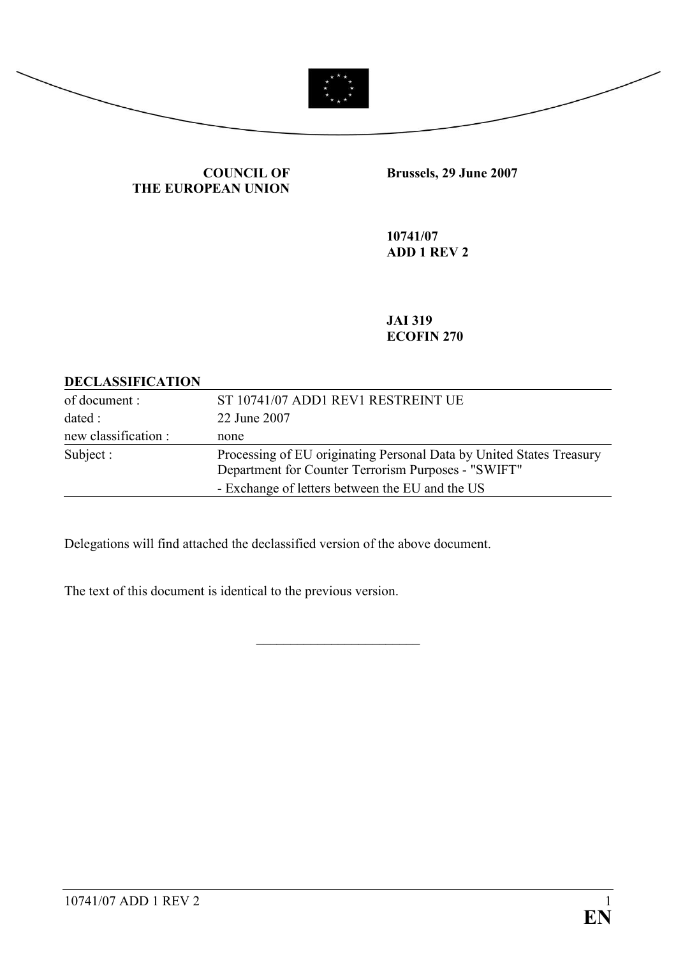

### COUNCIL OF THE EUROPEAN UNION

Brussels, 29 June 2007

10741/07 ADD 1 REV 2

JAI 319 ECOFIN 270

### DECLASSIFICATION

| of document :        | ST 10741/07 ADD1 REV1 RESTREINT UE                                                                                          |
|----------------------|-----------------------------------------------------------------------------------------------------------------------------|
| dated :              | 22 June 2007                                                                                                                |
| new classification : | none                                                                                                                        |
| Subject :            | Processing of EU originating Personal Data by United States Treasury<br>Department for Counter Terrorism Purposes - "SWIFT" |
|                      | - Exchange of letters between the EU and the US                                                                             |

\_\_\_\_\_\_\_\_\_\_\_\_\_\_\_\_\_\_\_\_\_\_\_\_

Delegations will find attached the declassified version of the above document.

The text of this document is identical to the previous version.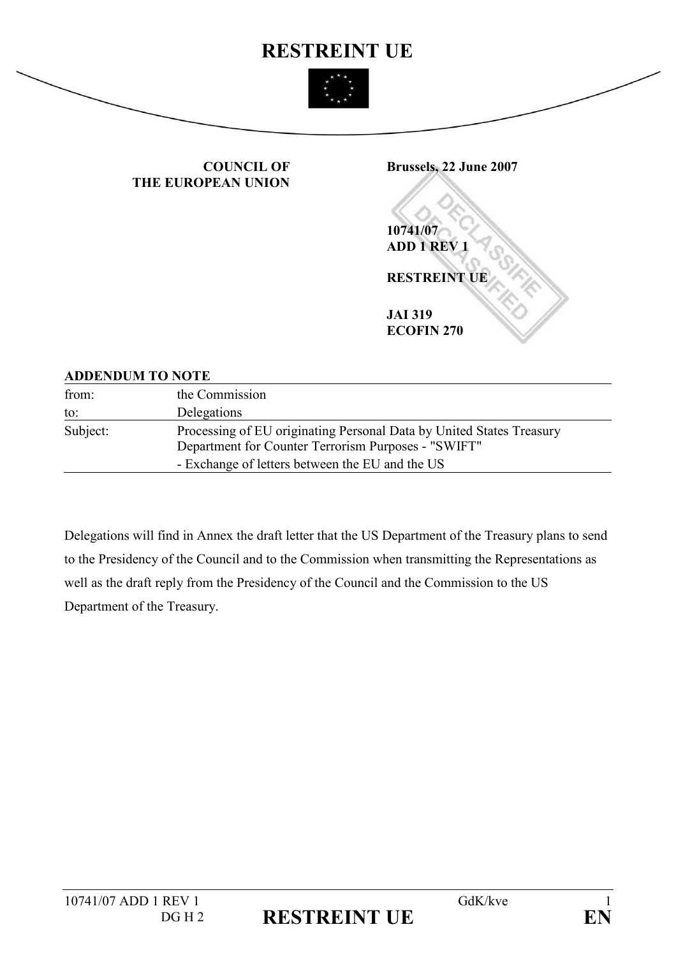

#### COUNCIL OF THE EUROPEAN UNION



## ADDENDUM TO NOTE

| from:    | the Commission                                                                                                                                                                 |
|----------|--------------------------------------------------------------------------------------------------------------------------------------------------------------------------------|
| to:      | Delegations                                                                                                                                                                    |
| Subject: | Processing of EU originating Personal Data by United States Treasury<br>Department for Counter Terrorism Purposes - "SWIFT"<br>- Exchange of letters between the EU and the US |

Delegations will find in Annex the draft letter that the US Department of the Treasury plans to send to the Presidency of the Council and to the Commission when transmitting the Representations as well as the draft reply from the Presidency of the Council and the Commission to the US Department of the Treasury.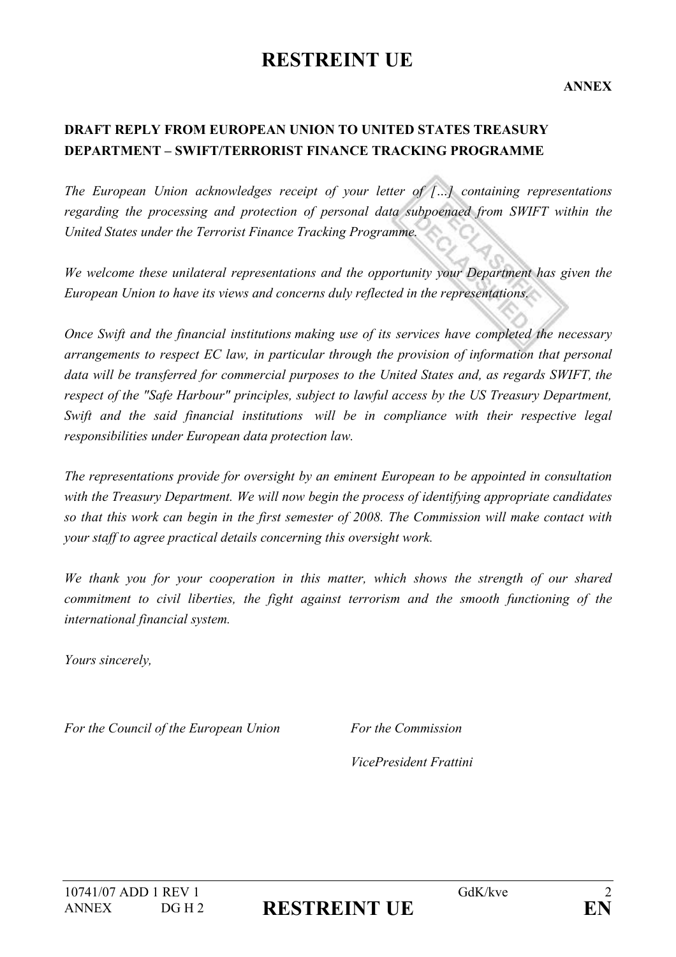# RESTREINT UE

ANNEX

# DRAFT REPLY FROM EUROPEAN UNION TO UNITED STATES TREASURY DEPARTMENT – SWIFT/TERRORIST FINANCE TRACKING PROGRAMME

The European Union acknowledges receipt of your letter of  $\lceil \ldots \rceil$  containing representations regarding the processing and protection of personal data subpoenaed from SWIFT within the United States under the Terrorist Finance Tracking Programme.

We welcome these unilateral representations and the opportunity your Department has given the European Union to have its views and concerns duly reflected in the representations.

Once Swift and the financial institutions making use of its services have completed the necessary arrangements to respect EC law, in particular through the provision of information that personal data will be transferred for commercial purposes to the United States and, as regards SWIFT, the respect of the "Safe Harbour" principles, subject to lawful access by the US Treasury Department, Swift and the said financial institutions will be in compliance with their respective legal responsibilities under European data protection law.

The representations provide for oversight by an eminent European to be appointed in consultation with the Treasury Department. We will now begin the process of identifying appropriate candidates so that this work can begin in the first semester of 2008. The Commission will make contact with your staff to agree practical details concerning this oversight work.

We thank you for your cooperation in this matter, which shows the strength of our shared commitment to civil liberties, the fight against terrorism and the smooth functioning of the international financial system.

Yours sincerely,

For the Council of the European Union For the Commission

VicePresident Frattini